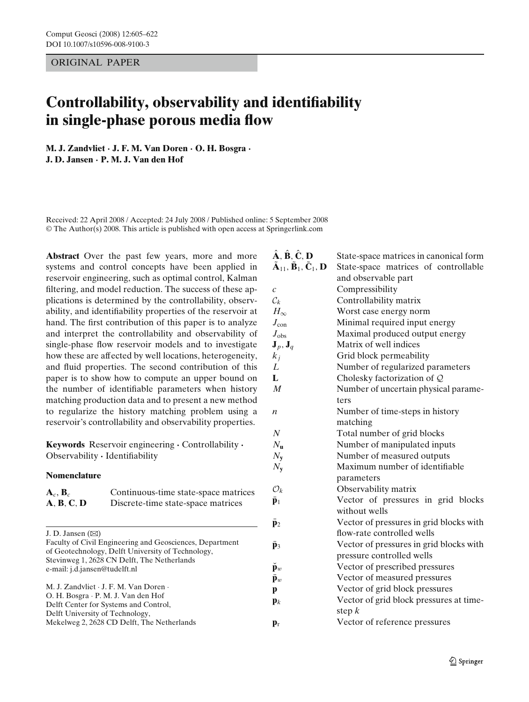ORIGINAL PAPER

# **Controllability, observability and identifiability in single-phase porous media flow**

**M. J. Zandvliet · J. F. M. Van Doren · O. H. Bosgra · J. D. Jansen · P. M. J. Van den Hof**

Received: 22 April 2008 / Accepted: 24 July 2008 / Published online: 5 September 2008 © The Author(s) 2008. This article is published with open access at Springerlink.com

**Abstract** Over the past few years, more and more systems and control concepts have been applied in reservoir engineering, such as optimal control, Kalman filtering, and model reduction. The success of these applications is determined by the controllability, observability, and identifiability properties of the reservoir at hand. The first contribution of this paper is to analyze and interpret the controllability and observability of single-phase flow reservoir models and to investigate how these are affected by well locations, heterogeneity, and fluid properties. The second contribution of this paper is to show how to compute an upper bound on the number of identifiable parameters when history matching production data and to present a new method to regularize the history matching problem using a reservoir's controllability and observability properties.

**Keywords** Reservoir engineering **·** Controllability **·** Observability **·** Identifiability

#### **Nomenclature**

| $\mathbf{A}_c, \mathbf{B}_c$ | Continuous-time state-space matrices |
|------------------------------|--------------------------------------|
| A, B, C, D                   | Discrete-time state-space matrices   |

J. D. Jansen  $(\boxtimes)$ Faculty of Civil Engineering and Geosciences, Department of Geotechnology, Delft University of Technology, Stevinweg 1, 2628 CN Delft, The Netherlands e-mail: j.d.jansen@tudelft.nl M. J. Zandvliet · J. F. M. Van Doren · O. H. Bosgra · P. M. J. Van den Hof Delft Center for Systems and Control, Delft University of Technology,

Mekelweg 2, 2628 CD Delft, The Netherlands

| $\hat{\mathbf{A}}, \hat{\mathbf{B}}, \hat{\mathbf{C}}, \mathbf{D}$                    | State-space matrices in canonical form  |
|---------------------------------------------------------------------------------------|-----------------------------------------|
| $\tilde{\mathbf{A}}_{11}, \tilde{\mathbf{B}}_{1}, \tilde{\mathbf{C}}_{1}, \mathbf{D}$ | State-space matrices of controllable    |
|                                                                                       | and observable part                     |
| $\mathcal{C}_{0}^{0}$                                                                 | Compressibility                         |
| $\mathcal{C}_k$                                                                       | Controllability matrix                  |
| $H_{\infty}$                                                                          | Worst case energy norm                  |
| $J_{\rm con}$                                                                         | Minimal required input energy           |
| $J_{\rm obs}$                                                                         | Maximal produced output energy          |
| ${\bf J}_p, {\bf J}_q$                                                                | Matrix of well indices                  |
| $k_j$                                                                                 | Grid block permeability                 |
| L                                                                                     | Number of regularized parameters        |
| L                                                                                     | Cholesky factorization of Q             |
| $\boldsymbol{M}$                                                                      | Number of uncertain physical parame-    |
|                                                                                       | ters                                    |
| n                                                                                     | Number of time-steps in history         |
|                                                                                       | matching                                |
| $\boldsymbol{N}$                                                                      | Total number of grid blocks             |
| $N_{\rm u}$                                                                           | Number of manipulated inputs            |
| $N_{\rm v}$                                                                           | Number of measured outputs              |
| $N_{y}$                                                                               | Maximum number of identifiable          |
|                                                                                       | parameters                              |
| $\mathcal{O}_k$                                                                       | Observability matrix                    |
| $\bar{\mathbf{p}}_1$                                                                  | Vector of pressures in grid blocks      |
|                                                                                       | without wells                           |
| $\bar{\mathbf{p}}_2$                                                                  | Vector of pressures in grid blocks with |
|                                                                                       | flow-rate controlled wells              |
| $\bar{\mathbf{p}}_3$                                                                  | Vector of pressures in grid blocks with |
|                                                                                       | pressure controlled wells               |
| $\breve{\mathbf{p}}_w$                                                                | Vector of prescribed pressures          |
| $\bar{\mathbf{p}}_w$                                                                  | Vector of measured pressures            |
| $\mathbf{p}$                                                                          | Vector of grid block pressures          |
| $\mathbf{p}_k$                                                                        | Vector of grid block pressures at time- |
|                                                                                       | step $k$                                |
| $\mathbf{p}_r$                                                                        | Vector of reference pressures           |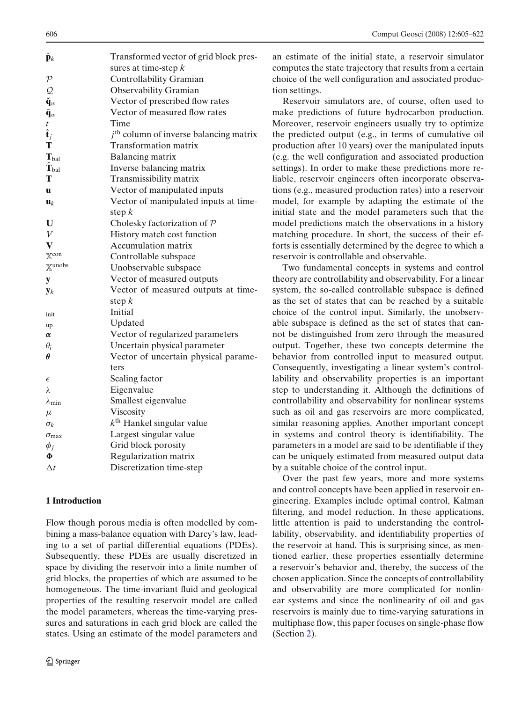| $\hat{\mathbf{p}}_k$      | Transformed vector of grid block pres-   |
|---------------------------|------------------------------------------|
|                           | sures at time-step $k$                   |
| $\mathcal{P}$             | Controllability Gramian                  |
| $\mathcal{Q}$             | <b>Observability Gramian</b>             |
| $\breve{\mathbf{q}}_w$    | Vector of prescribed flow rates          |
| $\bar{\mathbf{q}}_w$      | Vector of measured flow rates            |
| $\bar{t}$                 | Time                                     |
| $\hat{\mathbf{t}}_j$      | $jth$ column of inverse balancing matrix |
| T                         | <b>Transformation matrix</b>             |
| $\mathbf{T}_{bal}$        | Balancing matrix                         |
| $\hat{\mathbf{T}}_{bal}$  | Inverse balancing matrix                 |
| т                         | Transmissibility matrix                  |
| u                         | Vector of manipulated inputs             |
| $\mathbf{u}_k$            | Vector of manipulated inputs at time-    |
|                           | step $k$                                 |
| U                         | Cholesky factorization of $P$            |
| $\bar{V}$                 | History match cost function              |
| $\bar{\mathbf{V}}$        | Accumulation matrix                      |
| $\mathbb{X}^{\text{con}}$ | Controllable subspace                    |
| $\mathbb{X}$ unobs        | Unobservable subspace                    |
| y                         | Vector of measured outputs               |
| $y_k$                     | Vector of measured outputs at time-      |
|                           | step $k$                                 |
| init                      | Initial                                  |
| up                        | Updated                                  |
| α                         | Vector of regularized parameters         |
| $\theta_i$                | Uncertain physical parameter             |
| $\pmb{\theta}$            | Vector of uncertain physical parame-     |
|                           | ters                                     |
| $\epsilon$                | Scaling factor                           |
| λ                         | Eigenvalue                               |
| $\lambda_{\min}$          | Smallest eigenvalue                      |
| $\mu$                     | Viscosity                                |
| $\sigma_k$                | $k^{\text{th}}$ Hankel singular value    |
| $\sigma_{\text{max}}$     | Largest singular value                   |
| $\phi_i$                  | Grid block porosity                      |
| Φ                         | Regularization matrix                    |
| $\Delta t$                | Discretization time-step                 |
|                           |                                          |

# **1 Introduction**

Flow though porous media is often modelled by combining a mass-balance equation with Darcy's law, leading to a set of partial differential equations (PDEs). Subsequently, these PDEs are usually discretized in space by dividing the reservoir into a finite number of grid blocks, the properties of which are assumed to be homogeneous. The time-invariant fluid and geological properties of the resulting reservoir model are called the model parameters, whereas the time-varying pressures and saturations in each grid block are called the states. Using an estimate of the model parameters and

an estimate of the initial state, a reservoir simulator computes the state trajectory that results from a certain choice of the well configuration and associated production settings.

Reservoir simulators are, of course, often used to make predictions of future hydrocarbon production. Moreover, reservoir engineers usually try to optimize the predicted output (e.g., in terms of cumulative oil production after 10 years) over the manipulated inputs (e.g. the well configuration and associated production settings). In order to make these predictions more reliable, reservoir engineers often incorporate observations (e.g., measured production rates) into a reservoir model, for example by adapting the estimate of the initial state and the model parameters such that the model predictions match the observations in a history matching procedure. In short, the success of their efforts is essentially determined by the degree to which a reservoir is controllable and observable.

Two fundamental concepts in systems and control theory are controllability and observability. For a linear system, the so-called controllable subspace is defined as the set of states that can be reached by a suitable choice of the control input. Similarly, the unobservable subspace is defined as the set of states that cannot be distinguished from zero through the measured output. Together, these two concepts determine the behavior from controlled input to measured output. Consequently, investigating a linear system's controllability and observability properties is an important step to understanding it. Although the definitions of controllability and observability for nonlinear systems such as oil and gas reservoirs are more complicated, similar reasoning applies. Another important concept in systems and control theory is identifiability. The parameters in a model are said to be identifiable if they can be uniquely estimated from measured output data by a suitable choice of the control input.

Over the past few years, more and more systems and control concepts have been applied in reservoir engineering. Examples include optimal control, Kalman filtering, and model reduction. In these applications, little attention is paid to understanding the controllability, observability, and identifiability properties of the reservoir at hand. This is surprising since, as mentioned earlier, these properties essentially determine a reservoir's behavior and, thereby, the success of the chosen application. Since the concepts of controllability and observability are more complicated for nonlinear systems and since the nonlinearity of oil and gas reservoirs is mainly due to time-varying saturations in multiphase flow, this paper focuses on single-phase flow (Section [2\)](#page-2-0).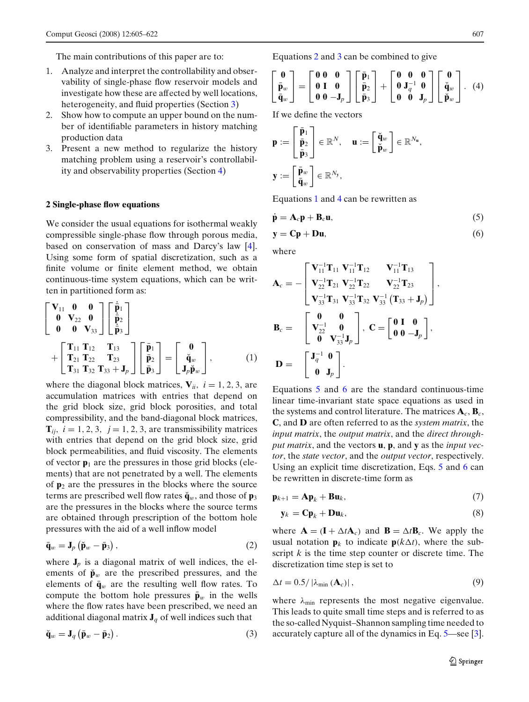<span id="page-2-0"></span>The main contributions of this paper are to:

- 1. Analyze and interpret the controllability and observability of single-phase flow reservoir models and investigate how these are affected by well locations, heterogeneity, and fluid properties (Section [3\)](#page-3-0)
- 2. Show how to compute an upper bound on the number of identifiable parameters in history matching production data
- 3. Present a new method to regularize the history matching problem using a reservoir's controllability and observability properties (Section [4\)](#page-9-0)

#### **2 Single-phase flow equations**

We consider the usual equations for isothermal weakly compressible single-phase flow through porous media, based on conservation of mass and Darcy's law [\[4\]](#page-16-0). Using some form of spatial discretization, such as a finite volume or finite element method, we obtain continuous-time system equations, which can be written in partitioned form as:

$$
\begin{bmatrix}\n\mathbf{V}_{11} & \mathbf{0} & \mathbf{0} \\
\mathbf{0} & \mathbf{V}_{22} & \mathbf{0} \\
\mathbf{0} & \mathbf{0} & \mathbf{V}_{33}\n\end{bmatrix}\n\begin{bmatrix}\n\dot{\bar{\mathbf{p}}}_1 \\
\dot{\bar{\mathbf{p}}}_2 \\
\dot{\bar{\mathbf{p}}}_3\n\end{bmatrix}\n+\n\begin{bmatrix}\n\mathbf{T}_{11} & \mathbf{T}_{12} & \mathbf{T}_{13} \\
\mathbf{T}_{21} & \mathbf{T}_{22} & \mathbf{T}_{23} \\
\mathbf{T}_{31} & \mathbf{T}_{32} & \mathbf{T}_{33} + \mathbf{J}_p\n\end{bmatrix}\n\begin{bmatrix}\n\bar{\mathbf{p}}_1 \\
\bar{\mathbf{p}}_2 \\
\bar{\mathbf{p}}_3\n\end{bmatrix} =\n\begin{bmatrix}\n\mathbf{0} \\
\tilde{\mathbf{q}}_w \\
\mathbf{J}_p\tilde{\mathbf{p}}_w\n\end{bmatrix},
$$
\n(1)

where the diagonal block matrices,  $V_{ii}$ ,  $i = 1, 2, 3$ , are accumulation matrices with entries that depend on the grid block size, grid block porosities, and total compressibility, and the band-diagonal block matrices,  $\mathbf{T}_{ij}$ ,  $i = 1, 2, 3$ ,  $j = 1, 2, 3$ , are transmissibility matrices with entries that depend on the grid block size, grid block permeabilities, and fluid viscosity. The elements of vector  $\mathbf{p}_1$  are the pressures in those grid blocks (elements) that are not penetrated by a well. The elements of  $p_2$  are the pressures in the blocks where the source terms are prescribed well flow rates  $\ddot{\mathbf{q}}_w$ , and those of  $\mathbf{p}_3$ are the pressures in the blocks where the source terms are obtained through prescription of the bottom hole pressures with the aid of a well inflow model

$$
\bar{\mathbf{q}}_w = \mathbf{J}_p \left( \check{\mathbf{p}}_w - \bar{\mathbf{p}}_3 \right),\tag{2}
$$

where  $J_p$  is a diagonal matrix of well indices, the elements of  $\check{\mathbf{p}}_w$  are the prescribed pressures, and the elements of  $\bar{\mathbf{q}}_w$  are the resulting well flow rates. To compute the bottom hole pressures  $\bar{\mathbf{p}}_w$  in the wells where the flow rates have been prescribed, we need an additional diagonal matrix  $J_q$  of well indices such that

$$
\breve{\mathbf{q}}_w = \mathbf{J}_q \left( \bar{\mathbf{p}}_w - \bar{\mathbf{p}}_2 \right). \tag{3}
$$

Equations 2 and 3 can be combined to give

$$
\begin{bmatrix}\n\mathbf{0} \\
\bar{\mathbf{p}}_w \\
\bar{\mathbf{q}}_w\n\end{bmatrix} = \begin{bmatrix}\n0 & 0 & 0 \\
0 & I & 0 \\
0 & 0 & -J_p\n\end{bmatrix} \begin{bmatrix}\n\bar{\mathbf{p}}_1 \\
\bar{\mathbf{p}}_2 \\
\bar{\mathbf{p}}_3\n\end{bmatrix} + \begin{bmatrix}\n0 & 0 & 0 \\
0 & J_q^{-1} & 0 \\
0 & 0 & J_p\n\end{bmatrix} \begin{bmatrix}\n0 \\
\breve{\mathbf{q}}_w \\
\breve{\mathbf{p}}_w\n\end{bmatrix}.
$$
\n(4)

If we define the vectors

$$
\mathbf{p} := \begin{bmatrix} \tilde{\mathbf{p}}_1 \\ \tilde{\mathbf{p}}_2 \\ \tilde{\mathbf{p}}_3 \end{bmatrix} \in \mathbb{R}^N, \quad \mathbf{u} := \begin{bmatrix} \check{\mathbf{q}}_w \\ \check{\mathbf{p}}_w \end{bmatrix} \in \mathbb{R}^{N_{\mathbf{u}}},
$$

$$
\mathbf{y} := \begin{bmatrix} \tilde{\mathbf{p}}_w \\ \tilde{\mathbf{q}}_w \end{bmatrix} \in \mathbb{R}^{N_{\mathbf{y}}},
$$

Equations 1 and 4 can be rewritten as

$$
\dot{\mathbf{p}} = \mathbf{A}_c \mathbf{p} + \mathbf{B}_c \mathbf{u},\tag{5}
$$

$$
y = Cp + Du, \tag{6}
$$

where

$$
\mathbf{A}_{c} = -\begin{bmatrix} \mathbf{V}_{11}^{-1}\mathbf{T}_{11} & \mathbf{V}_{11}^{-1}\mathbf{T}_{12} & \mathbf{V}_{11}^{-1}\mathbf{T}_{13} \\ \mathbf{V}_{22}^{-1}\mathbf{T}_{21} & \mathbf{V}_{22}^{-1}\mathbf{T}_{22} & \mathbf{V}_{22}^{-1}\mathbf{T}_{23} \\ \mathbf{V}_{33}^{-1}\mathbf{T}_{31} & \mathbf{V}_{33}^{-1}\mathbf{T}_{32} & \mathbf{V}_{33}^{-1}(\mathbf{T}_{33} + \mathbf{J}_{p}) \end{bmatrix},
$$

$$
\mathbf{B}_{c} = \begin{bmatrix} \mathbf{0} & \mathbf{0} \\ \mathbf{V}_{22}^{-1} & \mathbf{0} \\ \mathbf{0} & \mathbf{V}_{33}^{-1}\mathbf{J}_{p} \end{bmatrix}, \mathbf{C} = \begin{bmatrix} \mathbf{0} & \mathbf{I} & \mathbf{0} \\ \mathbf{0} & \mathbf{0} & -\mathbf{J}_{p} \end{bmatrix},
$$

$$
\mathbf{D} = \begin{bmatrix} \mathbf{J}_{q}^{-1} & \mathbf{0} \\ \mathbf{0} & \mathbf{J}_{p} \end{bmatrix}.
$$

Equations 5 and 6 are the standard continuous-time linear time-invariant state space equations as used in the systems and control literature. The matrices  $\mathbf{A}_c$ ,  $\mathbf{B}_c$ , **C**, and **D** are often referred to as the *system matrix*, the *input matrix*, the *output matrix*, and the *direct throughput matrix*, and the vectors **u**, **p**, and **y** as the *input vector*, the *state vector*, and the *output vector*, respectively. Using an explicit time discretization, Eqs. 5 and 6 can be rewritten in discrete-time form as

$$
\mathbf{p}_{k+1} = \mathbf{A}\mathbf{p}_k + \mathbf{B}\mathbf{u}_k, \tag{7}
$$

$$
\mathbf{y}_k = \mathbf{C} \mathbf{p}_k + \mathbf{D} \mathbf{u}_k, \tag{8}
$$

where  $\mathbf{A} = (\mathbf{I} + \Delta t \mathbf{A}_c)$  and  $\mathbf{B} = \Delta t \mathbf{B}_c$ . We apply the usual notation  $\mathbf{p}_k$  to indicate  $\mathbf{p}(k\Delta t)$ , where the subscript *k* is the time step counter or discrete time. The discretization time step is set to

$$
\Delta t = 0.5 / |\lambda_{\min} (\mathbf{A}_c)| \,, \tag{9}
$$

where  $\lambda_{\min}$  represents the most negative eigenvalue. This leads to quite small time steps and is referred to as the so-called Nyquist–Shannon sampling time needed to accurately capture all of the dynamics in Eq. 5—see [\[3](#page-16-0)].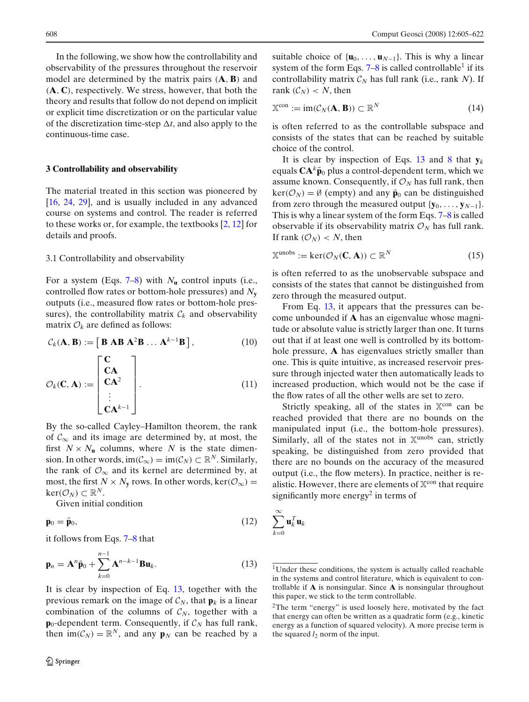<span id="page-3-0"></span>In the following, we show how the controllability and observability of the pressures throughout the reservoir model are determined by the matrix pairs (**A**, **B**) and (**A**, **C**), respectively. We stress, however, that both the theory and results that follow do not depend on implicit or explicit time discretization or on the particular value of the discretization time-step  $\Delta t$ , and also apply to the continuous-time case.

# **3 Controllability and observability**

The material treated in this section was pioneered by [\[16](#page-16-0), [24,](#page-17-0) [29\]](#page-17-0), and is usually included in any advanced course on systems and control. The reader is referred to these works or, for example, the textbooks [\[2,](#page-16-0) [12](#page-16-0)] for details and proofs.

#### 3.1 Controllability and observability

For a system (Eqs.  $7-8$ ) with  $N_u$  control inputs (i.e., controlled flow rates or bottom-hole pressures) and *N***<sup>y</sup>** outputs (i.e., measured flow rates or bottom-hole pressures), the controllability matrix  $C_k$  and observability matrix  $\mathcal{O}_k$  are defined as follows:

$$
\mathcal{C}_k(\mathbf{A}, \mathbf{B}) := \left[ \mathbf{B} \mathbf{A} \mathbf{B} \mathbf{A}^2 \mathbf{B} \dots \mathbf{A}^{k-1} \mathbf{B} \right],\tag{10}
$$

$$
\mathcal{O}_{k}(\mathbf{C}, \mathbf{A}) := \begin{bmatrix} \mathbf{C} \\ \mathbf{C}\mathbf{A} \\ \mathbf{C}\mathbf{A}^{2} \\ \vdots \\ \mathbf{C}\mathbf{A}^{k-1} \end{bmatrix} .
$$
 (11)

By the so-called Cayley–Hamilton theorem, the rank of  $\mathcal{C}_{\infty}$  and its image are determined by, at most, the first  $N \times N_u$  columns, where *N* is the state dimension. In other words, im( $\mathcal{C}_{\infty}$ ) = im( $\mathcal{C}_N$ )  $\subset \mathbb{R}^N$ . Similarly, the rank of  $\mathcal{O}_{\infty}$  and its kernel are determined by, at most, the first  $N \times N_v$  rows. In other words, ker( $\mathcal{O}_{\infty}$ ) = ker( $\mathcal{O}_N$ ) ⊂  $\mathbb{R}^N$ .

Given initial condition

$$
\mathbf{p}_0 = \bar{\mathbf{p}}_0,\tag{12}
$$

it follows from Eqs. [7–8](#page-2-0) that

$$
\mathbf{p}_n = \mathbf{A}^n \bar{\mathbf{p}}_0 + \sum_{k=0}^{n-1} \mathbf{A}^{n-k-1} \mathbf{B} \mathbf{u}_k.
$$
 (13)

It is clear by inspection of Eq. 13, together with the previous remark on the image of  $\mathcal{C}_N$ , that  $\mathbf{p}_k$  is a linear combination of the columns of  $C_N$ , together with a  $\mathbf{p}_0$ -dependent term. Consequently, if  $\mathcal{C}_N$  has full rank, then  $\text{im}(\mathcal{C}_N) = \mathbb{R}^N$ , and any  $\mathbf{p}_N$  can be reached by a suitable choice of  $\{u_0, \ldots, u_{N-1}\}$ . This is why a linear system of the form Eqs.  $7-8$  is called controllable<sup>1</sup> if its controllability matrix  $C_N$  has full rank (i.e., rank *N*). If rank  $(C_N)$  < *N*, then

$$
\mathbb{X}^{\text{con}} := \text{im}(\mathcal{C}_N(\mathbf{A}, \mathbf{B})) \subset \mathbb{R}^N \tag{14}
$$

is often referred to as the controllable subspace and consists of the states that can be reached by suitable choice of the control.

It is clear by inspection of Eqs.  $13$  and [8](#page-2-0) that  $y_k$ equals  $CA<sup>k</sup>$ **p**<sup> $0$ </sup> plus a control-dependent term, which we assume known. Consequently, if  $\mathcal{O}_N$  has full rank, then  $\ker(\mathcal{O}_N) = \emptyset$  (empty) and any  $\bar{\mathbf{p}}_0$  can be distinguished from zero through the measured output  ${\bf y}_0, \ldots, {\bf y}_{N-1}$ . This is why a linear system of the form Eqs. [7–8](#page-2-0) is called observable if its observability matrix  $\mathcal{O}_N$  has full rank. If rank  $(\mathcal{O}_N) < N$ , then

$$
\mathbb{X}^{\text{unobs}} := \text{ker}(\mathcal{O}_N(\mathbf{C}, \mathbf{A})) \subset \mathbb{R}^N \tag{15}
$$

is often referred to as the unobservable subspace and consists of the states that cannot be distinguished from zero through the measured output.

From Eq. 13, it appears that the pressures can become unbounded if **A** has an eigenvalue whose magnitude or absolute value is strictly larger than one. It turns out that if at least one well is controlled by its bottomhole pressure, **A** has eigenvalues strictly smaller than one. This is quite intuitive, as increased reservoir pressure through injected water then automatically leads to increased production, which would not be the case if the flow rates of all the other wells are set to zero.

Strictly speaking, all of the states in  $\mathbb{X}^{\text{con}}$  can be reached provided that there are no bounds on the manipulated input (i.e., the bottom-hole pressures). Similarly, all of the states not in  $\mathbb{X}^{\text{unobs}}$  can, strictly speaking, be distinguished from zero provided that there are no bounds on the accuracy of the measured output (i.e., the flow meters). In practice, neither is realistic. However, there are elements of  $\mathbb{X}^{\text{con}}$  that require significantly more energy<sup>2</sup> in terms of

$$
\sum_{k=0}^{\infty}\mathbf{u}_k^T\mathbf{u}_k
$$

<sup>&</sup>lt;sup>1</sup>Under these conditions, the system is actually called reachable in the systems and control literature, which is equivalent to controllable if **A** is nonsingular. Since **A** is nonsingular throughout this paper, we stick to the term controllable.

<sup>&</sup>lt;sup>2</sup>The term "energy" is used loosely here, motivated by the fact that energy can often be written as a quadratic form (e.g., kinetic energy as a function of squared velocity). A more precise term is the squared  $l_2$  norm of the input.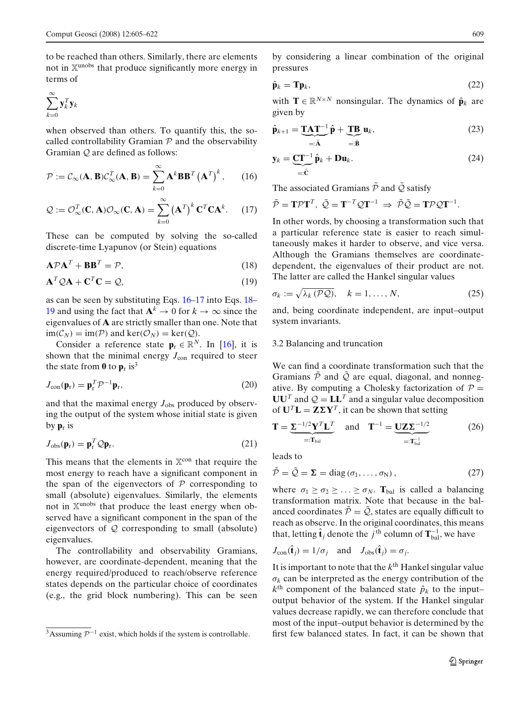<span id="page-4-0"></span>to be reached than others. Similarly, there are elements not in Xunobs that produce significantly more energy in terms of

$$
\sum_{k=0}^{\infty} \mathbf{y}_k^T \mathbf{y}_k
$$

when observed than others. To quantify this, the socalled controllability Gramian  $P$  and the observability Gramian Q are defined as follows:

$$
\mathcal{P} := \mathcal{C}_{\infty}(\mathbf{A}, \mathbf{B}) \mathcal{C}_{\infty}^T(\mathbf{A}, \mathbf{B}) = \sum_{k=0}^{\infty} \mathbf{A}^k \mathbf{B} \mathbf{B}^T (\mathbf{A}^T)^k, \qquad (16)
$$

$$
Q := \mathcal{O}_{\infty}^T(\mathbf{C}, \mathbf{A}) \mathcal{O}_{\infty}(\mathbf{C}, \mathbf{A}) = \sum_{k=0}^{\infty} (\mathbf{A}^T)^k \mathbf{C}^T \mathbf{C} \mathbf{A}^k.
$$
 (17)

These can be computed by solving the so-called discrete-time Lyapunov (or Stein) equations

$$
\mathbf{A}\mathcal{P}\mathbf{A}^T + \mathbf{B}\mathbf{B}^T = \mathcal{P},\tag{18}
$$

$$
\mathbf{A}^T \mathcal{Q} \mathbf{A} + \mathbf{C}^T \mathbf{C} = \mathcal{Q},\tag{19}
$$

as can be seen by substituting Eqs. 16–17 into Eqs. 18– 19 and using the fact that  $A^k \to 0$  for  $k \to \infty$  since the eigenvalues of **A** are strictly smaller than one. Note that  $\text{im}(\mathcal{C}_N) = \text{im}(\mathcal{P})$  and  $\text{ker}(\mathcal{O}_N) = \text{ker}(\mathcal{Q})$ .

Consider a reference state  $\mathbf{p}_r \in \mathbb{R}^N$ . In [\[16\]](#page-16-0), it is shown that the minimal energy  $J_{\text{con}}$  required to steer the state from  $\mathbf{0}$  to  $\mathbf{p}_r$  is<sup>3</sup>

$$
J_{\rm con}(\mathbf{p}_r) = \mathbf{p}_r^T \mathcal{P}^{-1} \mathbf{p}_r,\tag{20}
$$

and that the maximal energy *J*obs produced by observing the output of the system whose initial state is given by  $\mathbf{p}_r$  is

$$
J_{\text{obs}}(\mathbf{p}_r) = \mathbf{p}_r^T \mathcal{Q} \mathbf{p}_r. \tag{21}
$$

This means that the elements in  $X^{con}$  that require the most energy to reach have a significant component in the span of the eigenvectors of  $P$  corresponding to small (absolute) eigenvalues. Similarly, the elements not in  $\mathbb{X}^{\text{unobs}}$  that produce the least energy when observed have a significant component in the span of the eigenvectors of  $Q$  corresponding to small (absolute) eigenvalues.

The controllability and observability Gramians, however, are coordinate-dependent, meaning that the energy required/produced to reach/observe reference states depends on the particular choice of coordinates (e.g., the grid block numbering). This can be seen

by considering a linear combination of the original pressures

$$
\hat{\mathbf{p}}_k = \mathbf{T} \mathbf{p}_k,\tag{22}
$$

with  $\mathbf{T} \in \mathbb{R}^{N \times N}$  nonsingular. The dynamics of  $\hat{\mathbf{p}}_k$  are given by

$$
\hat{\mathbf{p}}_{k+1} = \underbrace{\mathbf{T} \mathbf{A} \mathbf{T}^{-1}}_{=: \tilde{\mathbf{A}}} \hat{\mathbf{p}} + \underbrace{\mathbf{T} \mathbf{B}}_{=: \tilde{\mathbf{B}}} \mathbf{u}_k, \tag{23}
$$

$$
\mathbf{y}_k = \underbrace{\mathbf{C}\mathbf{T}^{-1}}_{=: \tilde{\mathbf{C}}} \hat{\mathbf{p}}_k + \mathbf{D}\mathbf{u}_k. \tag{24}
$$

The associated Gramians  $\tilde{P}$  and  $\tilde{Q}$  satisfy

$$
\tilde{\mathcal{P}} = \mathbf{T} \mathcal{P} \mathbf{T}^T, \ \tilde{\mathcal{Q}} = \mathbf{T}^{-T} \mathcal{Q} \mathbf{T}^{-1} \ \Rightarrow \ \tilde{\mathcal{P}} \tilde{\mathcal{Q}} = \mathbf{T} \mathcal{P} \mathcal{Q} \mathbf{T}^{-1}.
$$

In other words, by choosing a transformation such that a particular reference state is easier to reach simultaneously makes it harder to observe, and vice versa. Although the Gramians themselves are coordinatedependent, the eigenvalues of their product are not. The latter are called the Hankel singular values

$$
\sigma_k := \sqrt{\lambda_k(\mathcal{P}\mathcal{Q})}, \quad k = 1, \dots, N,\tag{25}
$$

and, being coordinate independent, are input–output system invariants.

# 3.2 Balancing and truncation

We can find a coordinate transformation such that the Gramians  $\tilde{P}$  and  $\tilde{Q}$  are equal, diagonal, and nonnegative. By computing a Cholesky factorization of  $P =$  $UU<sup>T</sup>$  and  $Q = LL<sup>T</sup>$  and a singular value decomposition of  $U^{T}L = Z\Sigma Y^{T}$ , it can be shown that setting

$$
\mathbf{T} = \underbrace{\boldsymbol{\Sigma}^{-1/2} \mathbf{Y}^T \mathbf{L}^T}_{=: \mathbf{T}_{\text{bal}}} \quad \text{and} \quad \mathbf{T}^{-1} = \underbrace{\mathbf{U} \mathbf{Z} \boldsymbol{\Sigma}^{-1/2}}_{=: \mathbf{T}_{\text{bal}}} \tag{26}
$$

leads to

$$
\tilde{\mathcal{P}} = \tilde{\mathcal{Q}} = \Sigma = \text{diag}(\sigma_1, \dots, \sigma_N), \qquad (27)
$$

where  $\sigma_1 \geq \sigma_2 \geq \ldots \geq \sigma_N$ . **T**<sub>bal</sub> is called a balancing transformation matrix. Note that because in the balanced coordinates  $\tilde{\mathcal{P}} = \tilde{\mathcal{Q}}$ , states are equally difficult to reach as observe. In the original coordinates, this means that, letting  $\hat{\mathbf{t}}_j$  denote the *j*<sup>th</sup> column of  $\mathbf{T}_{bal}^{-1}$ , we have

$$
J_{\rm con}(\hat{\mathbf{t}}_j) = 1/\sigma_j \quad \text{and} \quad J_{\rm obs}(\hat{\mathbf{t}}_j) = \sigma_j.
$$

It is important to note that the  $k<sup>th</sup>$  Hankel singular value  $\sigma_k$  can be interpreted as the energy contribution of the  $k^{\text{th}}$  component of the balanced state  $\hat{p}_k$  to the input– output behavior of the system. If the Hankel singular values decrease rapidly, we can therefore conclude that most of the input–output behavior is determined by the first few balanced states. In fact, it can be shown that

<sup>&</sup>lt;sup>3</sup>Assuming  $\mathcal{P}^{-1}$  exist, which holds if the system is controllable.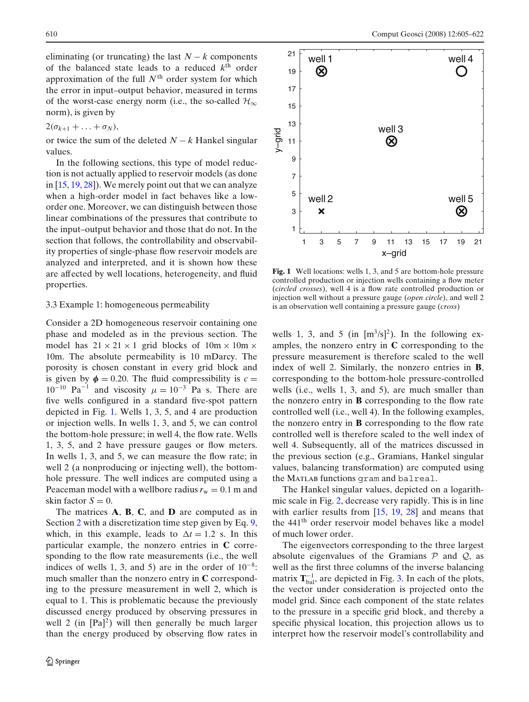<span id="page-5-0"></span>eliminating (or truncating) the last  $N - k$  components of the balanced state leads to a reduced  $k<sup>th</sup>$  order approximation of the full  $N<sup>th</sup>$  order system for which the error in input–output behavior, measured in terms of the worst-case energy norm (i.e., the so-called  $\mathcal{H}_{\infty}$ norm), is given by

 $2(\sigma_{k+1} + \ldots + \sigma_N),$ 

or twice the sum of the deleted *N* − *k* Hankel singular values.

In the following sections, this type of model reduction is not actually applied to reservoir models (as done in  $[15, 19, 28]$  $[15, 19, 28]$  $[15, 19, 28]$  $[15, 19, 28]$  $[15, 19, 28]$  $[15, 19, 28]$ . We merely point out that we can analyze when a high-order model in fact behaves like a loworder one. Moreover, we can distinguish between those linear combinations of the pressures that contribute to the input–output behavior and those that do not. In the section that follows, the controllability and observability properties of single-phase flow reservoir models are analyzed and interpreted, and it is shown how these are affected by well locations, heterogeneity, and fluid properties.

# 3.3 Example 1: homogeneous permeability

Consider a 2D homogeneous reservoir containing one phase and modeled as in the previous section. The model has  $21 \times 21 \times 1$  grid blocks of  $10m \times 10m \times$ 10m. The absolute permeability is 10 mDarcy. The porosity is chosen constant in every grid block and is given by  $\phi = 0.20$ . The fluid compressibility is  $c =$  $10^{-10}$  Pa<sup>-1</sup> and viscosity  $\mu = 10^{-3}$  Pa s. There are five wells configured in a standard five-spot pattern depicted in Fig. 1. Wells 1, 3, 5, and 4 are production or injection wells. In wells 1, 3, and 5, we can control the bottom-hole pressure; in well 4, the flow rate. Wells 1, 3, 5, and 2 have pressure gauges or flow meters. In wells 1, 3, and 5, we can measure the flow rate; in well 2 (a nonproducing or injecting well), the bottomhole pressure. The well indices are computed using a Peaceman model with a wellbore radius  $r_w = 0.1$  m and skin factor  $S = 0$ .

The matrices **A**, **B**, **C**, and **D** are computed as in Section [2](#page-2-0) with a discretization time step given by Eq. [9,](#page-2-0) which, in this example, leads to  $\Delta t = 1.2$  s. In this particular example, the nonzero entries in **C** corresponding to the flow rate measurements (i.e., the well indices of wells 1, 3, and 5) are in the order of  $10^{-8}$ : much smaller than the nonzero entry in **C** corresponding to the pressure measurement in well 2, which is equal to 1. This is problematic because the previously discussed energy produced by observing pressures in well 2 (in  $[Pa]^2$ ) will then generally be much larger than the energy produced by observing flow rates in



**Fig. 1** Well locations: wells 1, 3, and 5 are bottom-hole pressure controlled production or injection wells containing a flow meter (*circled crosses*), well 4 is a flow rate controlled production or injection well without a pressure gauge (*open circle*), and well 2 is an observation well containing a pressure gauge (*cross*)

wells 1, 3, and 5 (in  $[m^3/s]^2$ ). In the following examples, the nonzero entry in **C** corresponding to the pressure measurement is therefore scaled to the well index of well 2. Similarly, the nonzero entries in **B**, corresponding to the bottom-hole pressure-controlled wells (i.e., wells 1, 3, and 5), are much smaller than the nonzero entry in **B** corresponding to the flow rate controlled well (i.e., well 4). In the following examples, the nonzero entry in **B** corresponding to the flow rate controlled well is therefore scaled to the well index of well 4. Subsequently, all of the matrices discussed in the previous section (e.g., Gramians, Hankel singular values, balancing transformation) are computed using the MATLAB functions gram and balreal.

The Hankel singular values, depicted on a logarithmic scale in Fig. [2,](#page-6-0) decrease very rapidly. This is in line with earlier results from  $[15, 19, 28]$  $[15, 19, 28]$  $[15, 19, 28]$  $[15, 19, 28]$  $[15, 19, 28]$  and means that the 441th order reservoir model behaves like a model of much lower order.

The eigenvectors corresponding to the three largest absolute eigenvalues of the Gramians  $P$  and  $Q$ , as well as the first three columns of the inverse balancing matrix  $T_{bal}^{-1}$ , are depicted in Fig. [3.](#page-6-0) In each of the plots, the vector under consideration is projected onto the model grid. Since each component of the state relates to the pressure in a specific grid block, and thereby a specific physical location, this projection allows us to interpret how the reservoir model's controllability and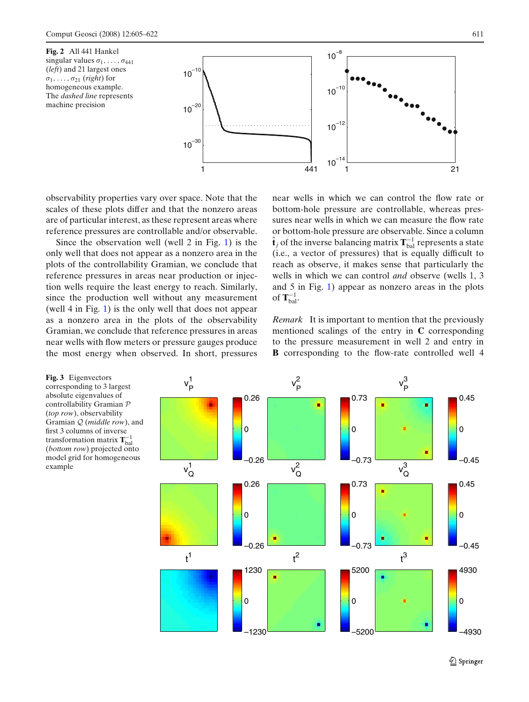<span id="page-6-0"></span>

observability properties vary over space. Note that the scales of these plots differ and that the nonzero areas are of particular interest, as these represent areas where reference pressures are controllable and/or observable.

Since the observation well (well 2 in Fig. [1\)](#page-5-0) is the only well that does not appear as a nonzero area in the plots of the controllability Gramian, we conclude that reference pressures in areas near production or injection wells require the least energy to reach. Similarly, since the production well without any measurement (well 4 in Fig. [1\)](#page-5-0) is the only well that does not appear as a nonzero area in the plots of the observability Gramian, we conclude that reference pressures in areas near wells with flow meters or pressure gauges produce the most energy when observed. In short, pressures near wells in which we can control the flow rate or bottom-hole pressure are controllable, whereas pressures near wells in which we can measure the flow rate or bottom-hole pressure are observable. Since a column  $\hat{\mathbf{t}}_j$  of the inverse balancing matrix  $\mathbf{T}_{\text{bal}}^{-1}$  represents a state (i.e., a vector of pressures) that is equally difficult to reach as observe, it makes sense that particularly the wells in which we can control *and* observe (wells 1, 3 and 5 in Fig. [1\)](#page-5-0) appear as nonzero areas in the plots of  $\mathbf{T}_{bal}^{-1}$ .

*Remark* It is important to mention that the previously mentioned scalings of the entry in **C** corresponding to the pressure measurement in well 2 and entry in **B** corresponding to the flow-rate controlled well 4

**Fig. 3** Eigenvectors corresponding to 3 largest absolute eigenvalues of controllability Gramian P (*top row*), observability Gramian Q (*middle row*), and first 3 columns of inverse transformation matrix **T**−<sup>1</sup> bal (*bottom row*) projected onto model grid for homogeneous example

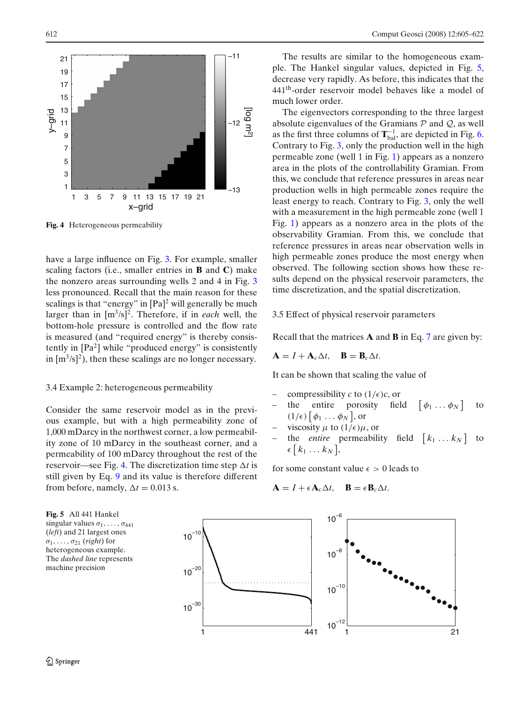<span id="page-7-0"></span>

**Fig. 4** Heterogeneous permeability

have a large influence on Fig. [3.](#page-6-0) For example, smaller scaling factors (i.e., smaller entries in **B** and **C**) make the nonzero areas surrounding wells 2 and 4 in Fig. [3](#page-6-0) less pronounced. Recall that the main reason for these scalings is that "energy" in  $[Pa]^2$  will generally be much larger than in [m<sup>3</sup>/s]<sup>2</sup>. Therefore, if in *each* well, the bottom-hole pressure is controlled and the flow rate is measured (and "required energy" is thereby consistently in [Pa<sup>2</sup>] while "produced energy" is consistently in  $[m^3/s]^2$ , then these scalings are no longer necessary.

#### 3.4 Example 2: heterogeneous permeability

Consider the same reservoir model as in the previous example, but with a high permeability zone of 1,000 mDarcy in the northwest corner, a low permeability zone of 10 mDarcy in the southeast corner, and a permeability of 100 mDarcy throughout the rest of the reservoir—see Fig. 4. The discretization time step  $\Delta t$  is still given by Eq. [9](#page-2-0) and its value is therefore different from before, namely,  $\Delta t = 0.013$  s.

The results are similar to the homogeneous example. The Hankel singular values, depicted in Fig. 5, decrease very rapidly. As before, this indicates that the 441th-order reservoir model behaves like a model of much lower order.

The eigenvectors corresponding to the three largest absolute eigenvalues of the Gramians  $P$  and  $Q$ , as well as the first three columns of  $T_{bal}^{-1}$ , are depicted in Fig. [6.](#page-8-0) Contrary to Fig. [3,](#page-6-0) only the production well in the high permeable zone (well 1 in Fig. [1\)](#page-5-0) appears as a nonzero area in the plots of the controllability Gramian. From this, we conclude that reference pressures in areas near production wells in high permeable zones require the least energy to reach. Contrary to Fig. [3,](#page-6-0) only the well with a measurement in the high permeable zone (well 1 Fig. [1\)](#page-5-0) appears as a nonzero area in the plots of the observability Gramian. From this, we conclude that reference pressures in areas near observation wells in high permeable zones produce the most energy when observed. The following section shows how these results depend on the physical reservoir parameters, the time discretization, and the spatial discretization.

#### 3.5 Effect of physical reservoir parameters

Recall that the matrices **A** and **B** in Eq. [7](#page-2-0) are given by:

$$
\mathbf{A} = I + \mathbf{A}_c \Delta t, \quad \mathbf{B} = \mathbf{B}_c \Delta t.
$$

It can be shown that scaling the value of

- compressibility *c* to  $(1/\epsilon)c$ , or
- the entire porosity field  $\lceil \phi_1 \dots \phi_N \rceil$  to  $(1/\epsilon) [\phi_1 \dots \phi_N],$  or
- viscosity  $\mu$  to  $(1/\epsilon)\mu$ , or
- $-$  the *entire* permeability field  $\begin{bmatrix} k_1 \ldots k_N \end{bmatrix}$  to  $\epsilon \begin{bmatrix} k_1 \dots k_N \end{bmatrix}$

for some constant value  $\epsilon > 0$  leads to

$$
\mathbf{A} = I + \epsilon \mathbf{A}_c \Delta t, \quad \mathbf{B} = \epsilon \mathbf{B}_c \Delta t.
$$

**Fig. 5** All 441 Hankel singular values  $\sigma_1, \ldots, \sigma_{441}$ (*left*) and 21 largest ones  $\sigma_1, \ldots, \sigma_{21}$  (*right*) for heterogeneous example. The *dashed line* represents machine precision

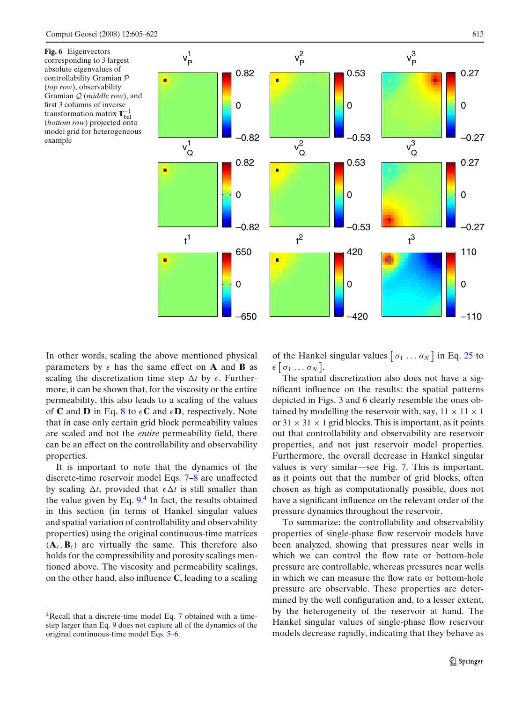<span id="page-8-0"></span>



In other words, scaling the above mentioned physical parameters by  $\epsilon$  has the same effect on **A** and **B** as scaling the discretization time step  $\Delta t$  by  $\epsilon$ . Furthermore, it can be shown that, for the viscosity or the entire permeability, this also leads to a scaling of the values of **C** and **D** in Eq. [8](#page-2-0) to  $\epsilon C$  and  $\epsilon D$ , respectively. Note that in case only certain grid block permeability values are scaled and not the *entire* permeability field, there can be an effect on the controllability and observability properties.

It is important to note that the dynamics of the discrete-time reservoir model Eqs. [7–8](#page-2-0) are unaffected by scaling  $\Delta t$ , provided that  $\epsilon \Delta t$  is still smaller than the value given by Eq.  $9<sup>4</sup>$  In fact, the results obtained in this section (in terms of Hankel singular values and spatial variation of controllability and observability properties) using the original continuous-time matrices  $(A_c, B_c)$  are virtually the same. This therefore also holds for the compressibility and porosity scalings mentioned above. The viscosity and permeability scalings, on the other hand, also influence **C**, leading to a scaling of the Hankel singular values  $[\sigma_1 \dots \sigma_N]$  in Eq. [25](#page-4-0) to  $\epsilon [\sigma_1 \ldots \sigma_N].$ 

The spatial discretization also does not have a significant influence on the results: the spatial patterns depicted in Figs. [3](#page-6-0) and 6 clearly resemble the ones obtained by modelling the reservoir with, say,  $11 \times 11 \times 1$ or  $31 \times 31 \times 1$  grid blocks. This is important, as it points out that controllability and observability are reservoir properties, and not just reservoir model properties. Furthermore, the overall decrease in Hankel singular values is very similar—see Fig. [7.](#page-9-0) This is important, as it points out that the number of grid blocks, often chosen as high as computationally possible, does not have a significant influence on the relevant order of the pressure dynamics throughout the reservoir.

To summarize: the controllability and observability properties of single-phase flow reservoir models have been analyzed, showing that pressures near wells in which we can control the flow rate or bottom-hole pressure are controllable, whereas pressures near wells in which we can measure the flow rate or bottom-hole pressure are observable. These properties are determined by the well configuration and, to a lesser extent, by the heterogeneity of the reservoir at hand. The Hankel singular values of single-phase flow reservoir models decrease rapidly, indicating that they behave as

<sup>4</sup>Recall that a discrete-time model Eq. [7](#page-2-0) obtained with a timestep larger than Eq. [9](#page-2-0) does not capture all of the dynamics of the original continuous-time model Eqs. [5–6.](#page-2-0)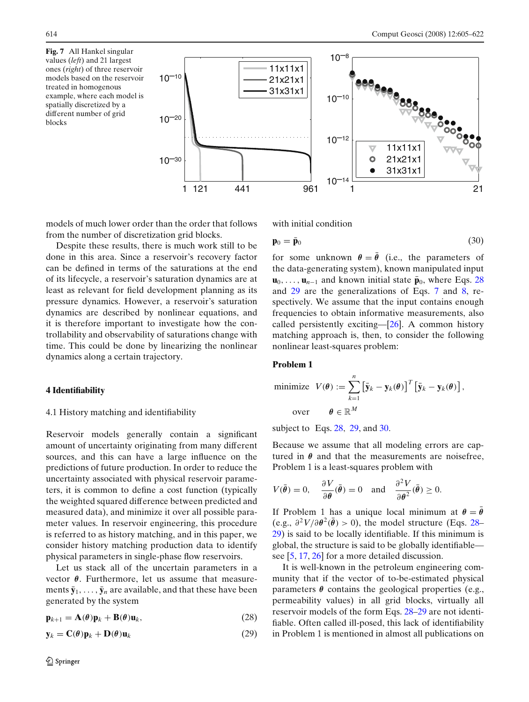<span id="page-9-0"></span>**Fig. 7** All Hankel singular values (*left*) and 21 largest ones (*right*) of three reservoir models based on the reservoir treated in homogenous example, where each model is spatially discretized by a different number of grid blocks



models of much lower order than the order that follows from the number of discretization grid blocks.

Despite these results, there is much work still to be done in this area. Since a reservoir's recovery factor can be defined in terms of the saturations at the end of its lifecycle, a reservoir's saturation dynamics are at least as relevant for field development planning as its pressure dynamics. However, a reservoir's saturation dynamics are described by nonlinear equations, and it is therefore important to investigate how the controllability and observability of saturations change with time. This could be done by linearizing the nonlinear dynamics along a certain trajectory.

#### **4 Identifiability**

#### 4.1 History matching and identifiability

Reservoir models generally contain a significant amount of uncertainty originating from many different sources, and this can have a large influence on the predictions of future production. In order to reduce the uncertainty associated with physical reservoir parameters, it is common to define a cost function (typically the weighted squared difference between predicted and measured data), and minimize it over all possible parameter values. In reservoir engineering, this procedure is referred to as history matching, and in this paper, we consider history matching production data to identify physical parameters in single-phase flow reservoirs.

Let us stack all of the uncertain parameters in a vector *θ*. Furthermore, let us assume that measurements  $\bar{y}_1, \ldots, \bar{y}_n$  are available, and that these have been generated by the system

$$
\mathbf{p}_{k+1} = \mathbf{A}(\boldsymbol{\theta})\mathbf{p}_k + \mathbf{B}(\boldsymbol{\theta})\mathbf{u}_k, \tag{28}
$$

$$
\mathbf{y}_k = \mathbf{C}(\boldsymbol{\theta}) \mathbf{p}_k + \mathbf{D}(\boldsymbol{\theta}) \mathbf{u}_k \tag{29}
$$

with initial condition

$$
\mathbf{p}_0 = \bar{\mathbf{p}}_0 \tag{30}
$$

for some unknown  $\theta = \bar{\theta}$  (i.e., the parameters of the data-generating system), known manipulated input  $\mathbf{u}_0, \ldots, \mathbf{u}_{n-1}$  and known initial state  $\bar{\mathbf{p}}_0$ , where Eqs. 28 and 29 are the generalizations of Eqs. [7](#page-2-0) and [8,](#page-2-0) respectively. We assume that the input contains enough frequencies to obtain informative measurements, also called persistently exciting—[\[26\]](#page-17-0). A common history matching approach is, then, to consider the following nonlinear least-squares problem:

# **Problem 1**

minimize 
$$
V(\theta) := \sum_{k=1}^{n} [\bar{\mathbf{y}}_k - \mathbf{y}_k(\theta)]^T [\bar{\mathbf{y}}_k - \mathbf{y}_k(\theta)],
$$
  
over  $\theta \in \mathbb{R}^M$ 

subject to Eqs. 28, 29, and 30.

Because we assume that all modeling errors are captured in  $\theta$  and that the measurements are noisefree, Problem 1 is a least-squares problem with

$$
V(\bar{\theta}) = 0, \quad \frac{\partial V}{\partial \theta}(\bar{\theta}) = 0 \quad \text{and} \quad \frac{\partial^2 V}{\partial \theta^2}(\bar{\theta}) \ge 0.
$$

If Problem 1 has a unique local minimum at  $\theta = \bar{\theta}$ (e.g.,  $\partial^2 V / \partial \theta^2(\bar{\theta}) > 0$ ), the model structure (Eqs. 28– 29) is said to be locally identifiable. If this minimum is global, the structure is said to be globally identifiable see [\[5,](#page-16-0) [17,](#page-16-0) [26\]](#page-17-0) for a more detailed discussion.

It is well-known in the petroleum engineering community that if the vector of to-be-estimated physical parameters  $\theta$  contains the geological properties (e.g., permeability values) in all grid blocks, virtually all reservoir models of the form Eqs. 28–29 are not identifiable. Often called ill-posed, this lack of identifiability in Problem 1 is mentioned in almost all publications on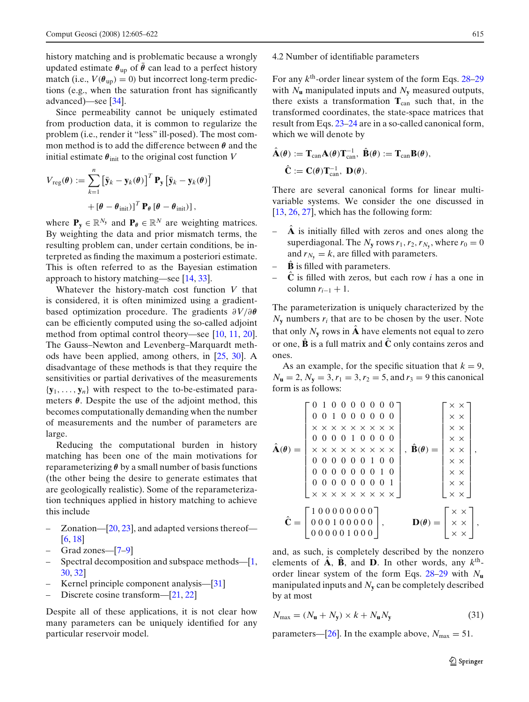<span id="page-10-0"></span>history matching and is problematic because a wrongly updated estimate  $\theta_{\text{up}}$  of  $\bar{\theta}$  can lead to a perfect history match (i.e.,  $V(\theta_{\text{up}}) = 0$ ) but incorrect long-term predictions (e.g., when the saturation front has significantly advanced)—see [\[34](#page-17-0)].

Since permeability cannot be uniquely estimated from production data, it is common to regularize the problem (i.e., render it "less" ill-posed). The most common method is to add the difference between *θ* and the initial estimate  $\theta_{\text{init}}$  to the original cost function *V* 

$$
V_{\text{reg}}(\theta) := \sum_{k=1}^{n} \left[ \bar{\mathbf{y}}_{k} - \mathbf{y}_{k}(\theta) \right]^{T} \mathbf{P}_{\mathbf{y}} \left[ \bar{\mathbf{y}}_{k} - \mathbf{y}_{k}(\theta) \right]
$$

$$
+ \left[ \theta - \theta_{\text{init}} \right]^{T} \mathbf{P}_{\theta} \left[ \theta - \theta_{\text{init}} \right],
$$

where  $P_v \in \mathbb{R}^{N_y}$  and  $P_\theta \in \mathbb{R}^N$  are weighting matrices. By weighting the data and prior mismatch terms, the resulting problem can, under certain conditions, be interpreted as finding the maximum a posteriori estimate. This is often referred to as the Bayesian estimation approach to history matching—see [\[14](#page-16-0), [33](#page-17-0)].

Whatever the history-match cost function *V* that is considered, it is often minimized using a gradientbased optimization procedure. The gradients ∂*V*/∂*θ* can be efficiently computed using the so-called adjoint method from optimal control theory—see [\[10](#page-16-0), [11](#page-16-0), [20\]](#page-16-0). The Gauss–Newton and Levenberg–Marquardt methods have been applied, among others, in [\[25](#page-17-0), [30](#page-17-0)]. A disadvantage of these methods is that they require the sensitivities or partial derivatives of the measurements  ${\bf y}_1,\ldots,{\bf y}_n$  with respect to the to-be-estimated parameters *θ*. Despite the use of the adjoint method, this becomes computationally demanding when the number of measurements and the number of parameters are large.

Reducing the computational burden in history matching has been one of the main motivations for reparameterizing *θ* by a small number of basis functions (the other being the desire to generate estimates that are geologically realistic). Some of the reparameterization techniques applied in history matching to achieve this include

- Zonation— $[20, 23]$  $[20, 23]$  $[20, 23]$  $[20, 23]$ , and adapted versions thereof— [\[6,](#page-16-0) [18\]](#page-16-0)
- Grad zones—[\[7–9\]](#page-16-0)
- Spectral decomposition and subspace methods—[\[1](#page-16-0), [30,](#page-17-0) [32\]](#page-17-0)
- Kernel principle component analysis—[\[31\]](#page-17-0)
- Discrete cosine transform—[\[21,](#page-16-0) [22\]](#page-16-0)

Despite all of these applications, it is not clear how many parameters can be uniquely identified for any particular reservoir model.

4.2 Number of identifiable parameters

For any  $k<sup>th</sup>$ -order linear system of the form Eqs. [28–29](#page-9-0) with  $N_{\rm u}$  manipulated inputs and  $N_{\rm y}$  measured outputs, there exists a transformation  $T_{can}$  such that, in the transformed coordinates, the state-space matrices that result from Eqs. [23–24](#page-4-0) are in a so-called canonical form, which we will denote by

$$
\hat{\mathbf{A}}(\theta) := \mathbf{T}_{\text{can}} \mathbf{A}(\theta) \mathbf{T}_{\text{can}}^{-1}, \ \hat{\mathbf{B}}(\theta) := \mathbf{T}_{\text{can}} \mathbf{B}(\theta),
$$
  

$$
\hat{\mathbf{C}} := \mathbf{C}(\theta) \mathbf{T}_{\text{can}}^{-1}, \ \mathbf{D}(\theta).
$$

There are several canonical forms for linear multivariable systems. We consider the one discussed in [\[13](#page-16-0), [26](#page-17-0), [27](#page-17-0)], which has the following form:

- $\hat{A}$  is initially filled with zeros and ones along the superdiagonal. The  $N_{\mathbf{v}}$  rows  $r_1, r_2, r_{N_{\mathbf{v}}}$ , where  $r_0 = 0$ and  $r_{N_x} = k$ , are filled with parameters.
- **B** is filled with parameters.
- **C**ˆ is filled with zeros, but each row *i* has a one in column  $r_{i-1} + 1$ .

The parameterization is uniquely characterized by the  $N_{\mathbf{y}}$  numbers  $r_i$  that are to be chosen by the user. Note that only  $N_\text{y}$  rows in **A** have elements not equal to zero or one,  $\hat{\mathbf{B}}$  is a full matrix and  $\hat{\mathbf{C}}$  only contains zeros and ones.

As an example, for the specific situation that  $k = 9$ ,  $N_{\bf{u}} = 2$ ,  $N_{\bf{v}} = 3$ ,  $r_1 = 3$ ,  $r_2 = 5$ , and  $r_3 = 9$  this canonical form is as follows:

**A**ˆ (*θ*) = ⎡ ⎢ ⎢ ⎢ ⎢ ⎢ ⎢ ⎢ ⎢ ⎢ ⎢ ⎢ ⎢ ⎣ 010000000 001000000 ××××××××× 000010000 ××××××××× 000000100 000000010 000000001 ××××××××× ⎤ ⎥ ⎥ ⎥ ⎥ ⎥ ⎥ ⎥ ⎥ ⎥ ⎥ ⎥ ⎥ ⎦ , **B**ˆ (*θ*) = ⎡ ⎢ ⎢ ⎢ ⎢ ⎢ ⎢ ⎢ ⎢ ⎢ ⎢ ⎢ ⎢ ⎣ × × × × × × × × × × × × × × × × × × ⎤ ⎥ ⎥ ⎥ ⎥ ⎥ ⎥ ⎥ ⎥ ⎥ ⎥ ⎥ ⎥ ⎦ , **C**ˆ = ⎡ ⎣ 100000000 000100000 000001000 ⎤ <sup>⎦</sup> , **<sup>D</sup>**(*θ*) <sup>=</sup> ⎡ ⎣ × × × × × × ⎤ ⎦ ,

and, as such, is completely described by the nonzero elements of **A**, **B**, and **D**. In other words, any  $k^{\text{th}}$ order linear system of the form Eqs. [28–29](#page-9-0) with *N***<sup>u</sup>** manipulated inputs and *N***<sup>y</sup>** can be completely described by at most

$$
N_{\text{max}} = (N_{\mathbf{u}} + N_{\mathbf{y}}) \times k + N_{\mathbf{u}} N_{\mathbf{y}} \tag{31}
$$

parameters—[\[26](#page-17-0)]. In the example above,  $N_{\text{max}} = 51$ .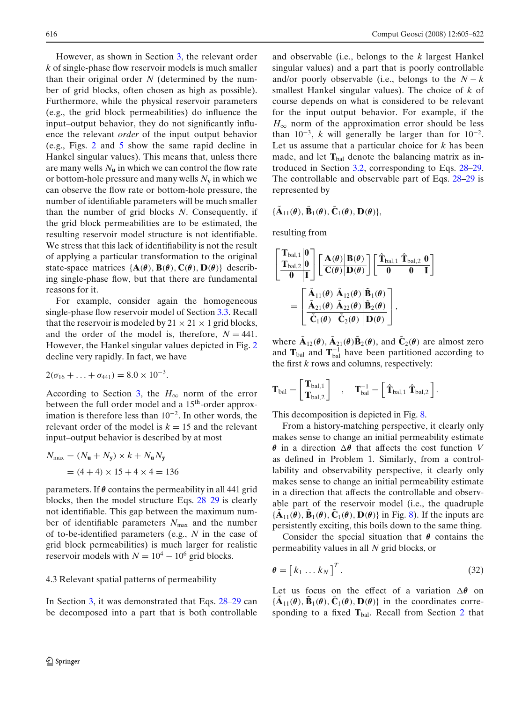<span id="page-11-0"></span>However, as shown in Section [3,](#page-3-0) the relevant order *k* of single-phase flow reservoir models is much smaller than their original order *N* (determined by the number of grid blocks, often chosen as high as possible). Furthermore, while the physical reservoir parameters (e.g., the grid block permeabilities) do influence the input–output behavior, they do not significantly influence the relevant *order* of the input–output behavior (e.g., Figs. [2](#page-6-0) and [5](#page-7-0) show the same rapid decline in Hankel singular values). This means that, unless there are many wells  $N_{\bf{u}}$  in which we can control the flow rate or bottom-hole pressure and many wells  $N_{\mathbf{v}}$  in which we can observe the flow rate or bottom-hole pressure, the number of identifiable parameters will be much smaller than the number of grid blocks *N*. Consequently, if the grid block permeabilities are to be estimated, the resulting reservoir model structure is not identifiable. We stress that this lack of identifiability is not the result of applying a particular transformation to the original state-space matrices  $\{A(\theta), B(\theta), C(\theta), D(\theta)\}\$  describing single-phase flow, but that there are fundamental reasons for it.

For example, consider again the homogeneous single-phase flow reservoir model of Section [3.3.](#page-5-0) Recall that the reservoir is modeled by  $21 \times 21 \times 1$  grid blocks, and the order of the model is, therefore,  $N = 441$ . However, the Hankel singular values depicted in Fig. [2](#page-6-0) decline very rapidly. In fact, we have

$$
2(\sigma_{16} + \ldots + \sigma_{441}) = 8.0 \times 10^{-3}.
$$

According to Section [3,](#page-3-0) the  $H_{\infty}$  norm of the error between the full order model and a 15<sup>th</sup>-order approximation is therefore less than  $10^{-2}$ . In other words, the relevant order of the model is  $k = 15$  and the relevant input–output behavior is described by at most

$$
N_{\text{max}} = (N_{\mathbf{u}} + N_{\mathbf{y}}) \times k + N_{\mathbf{u}} N_{\mathbf{y}}
$$
  
= (4 + 4) \times 15 + 4 \times 4 = 136

parameters. If *θ* contains the permeability in all 441 grid blocks, then the model structure Eqs. [28–29](#page-9-0) is clearly not identifiable. This gap between the maximum number of identifiable parameters *N*max and the number of to-be-identified parameters (e.g., *N* in the case of grid block permeabilities) is much larger for realistic reservoir models with  $N = 10^4 - 10^6$  grid blocks.

# 4.3 Relevant spatial patterns of permeability

In Section [3,](#page-3-0) it was demonstrated that Eqs. [28–29](#page-9-0) can be decomposed into a part that is both controllable

and observable (i.e., belongs to the *k* largest Hankel singular values) and a part that is poorly controllable and/or poorly observable (i.e., belongs to the  $N - k$ smallest Hankel singular values). The choice of *k* of course depends on what is considered to be relevant for the input–output behavior. For example, if the  $H_{\infty}$  norm of the approximation error should be less than  $10^{-3}$ , *k* will generally be larger than for  $10^{-2}$ . Let us assume that a particular choice for *k* has been made, and let  $T_{bal}$  denote the balancing matrix as introduced in Section [3.2,](#page-4-0) corresponding to Eqs. [28–29.](#page-9-0) The controllable and observable part of Eqs. [28–29](#page-9-0) is represented by

$$
\{\tilde{\mathbf{A}}_{11}(\boldsymbol{\theta}),\tilde{\mathbf{B}}_{1}(\boldsymbol{\theta}),\tilde{\mathbf{C}}_{1}(\boldsymbol{\theta}),\mathbf{D}(\boldsymbol{\theta})\},
$$

resulting from

$$
\begin{bmatrix}\n\mathbf{T}_{\text{bal},1} & \mathbf{0} \\
\mathbf{T}_{\text{bal},2} & \mathbf{0} \\
\hline\n\mathbf{0} & \mathbf{I}\n\end{bmatrix}\n\begin{bmatrix}\n\mathbf{A}(\theta) & \mathbf{B}(\theta) \\
\hline\n\mathbf{C}(\theta) & \mathbf{D}(\theta)\n\end{bmatrix}\n\begin{bmatrix}\n\hat{\mathbf{T}}_{\text{bal},1} & \hat{\mathbf{T}}_{\text{bal},2} & \mathbf{0} \\
\hline\n\mathbf{0} & \mathbf{0} & \mathbf{I}\n\end{bmatrix}\n=\n\begin{bmatrix}\n\tilde{\mathbf{A}}_{11}(\theta) & \tilde{\mathbf{A}}_{12}(\theta) & \tilde{\mathbf{B}}_{1}(\theta) \\
\tilde{\mathbf{A}}_{21}(\theta) & \tilde{\mathbf{A}}_{22}(\theta) & \tilde{\mathbf{B}}_{2}(\theta) \\
\tilde{\mathbf{C}}_{1}(\theta) & \tilde{\mathbf{C}}_{2}(\theta) & \mathbf{D}(\theta)\n\end{bmatrix},
$$

where  $\mathbf{A}_{12}(\theta), \mathbf{A}_{21}(\theta) \mathbf{B}_2(\theta)$ , and  $\mathbf{C}_2(\theta)$  are almost zero and  $T_{bal}$  and  $T_{bal}^{-1}$  have been partitioned according to the first *k* rows and columns, respectively:

$$
\mathbf{T}_{bal} = \begin{bmatrix} \mathbf{T}_{bal,1} \\ \mathbf{T}_{bal,2} \end{bmatrix} , \quad \mathbf{T}_{bal}^{-1} = \begin{bmatrix} \hat{\mathbf{T}}_{bal,1} \; \hat{\mathbf{T}}_{bal,2} \end{bmatrix}.
$$

This decomposition is depicted in Fig. [8.](#page-12-0)

From a history-matching perspective, it clearly only makes sense to change an initial permeability estimate  $θ$  in a direction  $Δθ$  that affects the cost function *V* as defined in Problem 1. Similarly, from a controllability and observability perspective, it clearly only makes sense to change an initial permeability estimate in a direction that affects the controllable and observable part of the reservoir model (i.e., the quadruple  ${ {\bf A}_{11}(\theta), {\bf B}_{1}(\theta), {\bf C}_{1}(\theta), {\bf D}(\theta) }$  in Fig. [8\)](#page-12-0). If the inputs are persistently exciting, this boils down to the same thing.

Consider the special situation that *θ* contains the permeability values in all *N* grid blocks, or

$$
\boldsymbol{\theta} = \begin{bmatrix} k_1 \dots k_N \end{bmatrix}^T. \tag{32}
$$

Let us focus on the effect of a variation  $\Delta\theta$  on  ${ {\bf A}_{11}(\theta), {\bf B}_{1}(\theta), {\bf C}_{1}(\theta), {\bf D}(\theta) }$  in the coordinates corresponding to a fixed **T**bal. Recall from Section [2](#page-2-0) that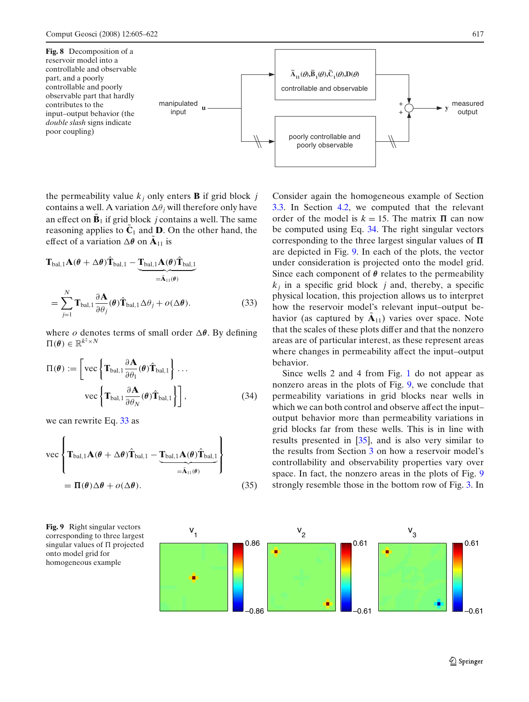<span id="page-12-0"></span>

the permeability value  $k_j$  only enters **B** if grid block *j* contains a well. A variation  $\Delta\theta_i$  will therefore only have an effect on  $\mathbf{B}_1$  if grid block *j* contains a well. The same reasoning applies to  $\tilde{\mathbf{C}}_1$  and **D**. On the other hand, the effect of a variation  $\Delta\theta$  on  $\mathbf{A}_{11}$  is

$$
\mathbf{T}_{\text{bal},1}\mathbf{A}(\theta + \Delta\theta)\hat{\mathbf{T}}_{\text{bal},1} - \underbrace{\mathbf{T}_{\text{bal},1}\mathbf{A}(\theta)\hat{\mathbf{T}}_{\text{bal},1}}_{=\tilde{\mathbf{A}}_{11}(\theta)}
$$
\n
$$
= \sum_{j=1}^{N} \mathbf{T}_{\text{bal},1} \frac{\partial \mathbf{A}}{\partial \theta_{j}}(\theta)\hat{\mathbf{T}}_{\text{bal},1}\Delta\theta_{j} + o(\Delta\theta). \tag{33}
$$

where *o* denotes terms of small order  $\Delta\theta$ . By defining  $\Pi(\boldsymbol{\theta}) \in \mathbb{R}^{k^2 \times N}$ 

$$
\Pi(\theta) := \left[ \text{vec} \left\{ \mathbf{T}_{\text{bal},1} \frac{\partial \mathbf{A}}{\partial \theta_1} (\theta) \hat{\mathbf{T}}_{\text{bal},1} \right\} \cdots \right]
$$

$$
\text{vec} \left\{ \mathbf{T}_{\text{bal},1} \frac{\partial \mathbf{A}}{\partial \theta_N} (\theta) \hat{\mathbf{T}}_{\text{bal},1} \right\} \right],
$$
(34)

we can rewrite Eq. 33 as

vec 
$$
\left\{ \mathbf{T}_{bal,1} \mathbf{A}(\theta + \Delta \theta) \hat{\mathbf{T}}_{bal,1} - \underbrace{\mathbf{T}_{bal,1} \mathbf{A}(\theta) \hat{\mathbf{T}}_{bal,1}}_{=\hat{\mathbf{A}}_{11}(\theta)} \right\}
$$
\n
$$
= \Pi(\theta) \Delta \theta + o(\Delta \theta). \tag{35}
$$

Consider again the homogeneous example of Section [3.3.](#page-5-0) In Section [4.2,](#page-10-0) we computed that the relevant order of the model is  $k = 15$ . The matrix  $\Pi$  can now be computed using Eq. 34. The right singular vectors corresponding to the three largest singular values of  $\Pi$ are depicted in Fig. 9. In each of the plots, the vector under consideration is projected onto the model grid. Since each component of  $\theta$  relates to the permeability  $k_i$  in a specific grid block *j* and, thereby, a specific physical location, this projection allows us to interpret how the reservoir model's relevant input–output behavior (as captured by  $\mathbf{A}_{11}$ ) varies over space. Note that the scales of these plots differ and that the nonzero areas are of particular interest, as these represent areas where changes in permeability affect the input–output behavior.

Since wells 2 and 4 from Fig. [1](#page-5-0) do not appear as nonzero areas in the plots of Fig. 9, we conclude that permeability variations in grid blocks near wells in which we can both control and observe affect the input– output behavior more than permeability variations in grid blocks far from these wells. This is in line with results presented in [\[35\]](#page-17-0), and is also very similar to the results from Section [3](#page-3-0) on how a reservoir model's controllability and observability properties vary over space. In fact, the nonzero areas in the plots of Fig. 9 strongly resemble those in the bottom row of Fig. [3.](#page-6-0) In



**Fig. 9** Right singular vectors corresponding to three largest singular values of  $\Pi$  projected onto model grid for homogeneous example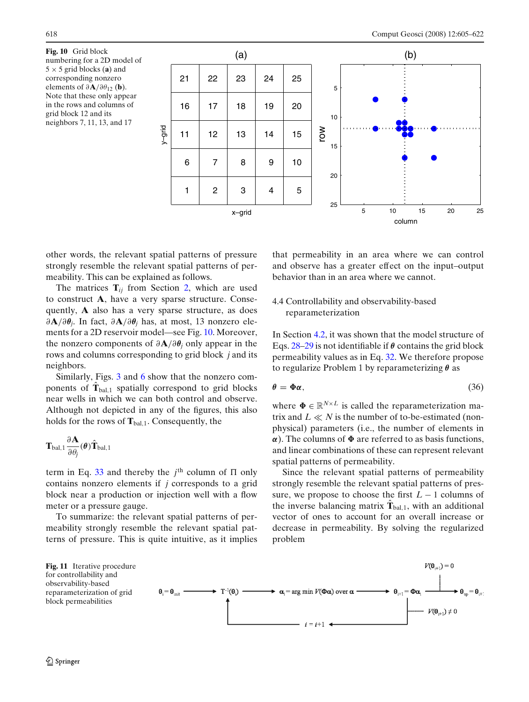<span id="page-13-0"></span>**Fig. 10** Grid block numbering for a 2D model of  $5 \times 5$  grid blocks (a) and corresponding nonzero elements of  $\partial$ **A**/ $\partial \theta_{12}$  (**b**). Note that these only appear in the rows and columns of grid block 12 and its neighbors 7, 11, 13, and 17



other words, the relevant spatial patterns of pressure strongly resemble the relevant spatial patterns of permeability. This can be explained as follows.

The matrices  $\mathbf{T}_{ij}$  from Section [2,](#page-2-0) which are used to construct **A**, have a very sparse structure. Consequently, **A** also has a very sparse structure, as does ∂**A**/∂*θj*. In fact, ∂**A**/∂*θ<sup>j</sup>* has, at most, 13 nonzero elements for a 2D reservoir model—see Fig. 10. Moreover, the nonzero components of ∂**A**/∂*θ<sup>j</sup>* only appear in the rows and columns corresponding to grid block *j* and its neighbors.

Similarly, Figs. [3](#page-6-0) and [6](#page-8-0) show that the nonzero components of  $\hat{\mathbf{T}}_{bal,1}$  spatially correspond to grid blocks near wells in which we can both control and observe. Although not depicted in any of the figures, this also holds for the rows of **T**bal,1. Consequently, the

$$
\mathbf{T}_{\text{bal},1} \frac{\partial \mathbf{A}}{\partial \theta_j}(\boldsymbol{\theta}) \hat{\mathbf{T}}_{\text{bal},1}
$$

term in Eq. [33](#page-12-0) and thereby the  $j^{\text{th}}$  column of  $\Pi$  only contains nonzero elements if *j* corresponds to a grid block near a production or injection well with a flow meter or a pressure gauge.

To summarize: the relevant spatial patterns of permeability strongly resemble the relevant spatial patterns of pressure. This is quite intuitive, as it implies that permeability in an area where we can control and observe has a greater effect on the input–output behavior than in an area where we cannot.

# 4.4 Controllability and observability-based reparameterization

In Section [4.2,](#page-10-0) it was shown that the model structure of Eqs. [28–29](#page-9-0) is not identifiable if *θ* contains the grid block permeability values as in Eq. [32.](#page-11-0) We therefore propose to regularize Problem 1 by reparameterizing *θ* as

$$
\theta = \Phi \alpha, \tag{36}
$$

where  $\Phi \in \mathbb{R}^{N \times L}$  is called the reparameterization matrix and  $L \ll N$  is the number of to-be-estimated (nonphysical) parameters (i.e., the number of elements in  $\alpha$ ). The columns of  $\Phi$  are referred to as basis functions, and linear combinations of these can represent relevant spatial patterns of permeability.

Since the relevant spatial patterns of permeability strongly resemble the relevant spatial patterns of pressure, we propose to choose the first  $L - 1$  columns of the inverse balancing matrix  $T_{bal,1}$ , with an additional vector of ones to account for an overall increase or decrease in permeability. By solving the regularized problem

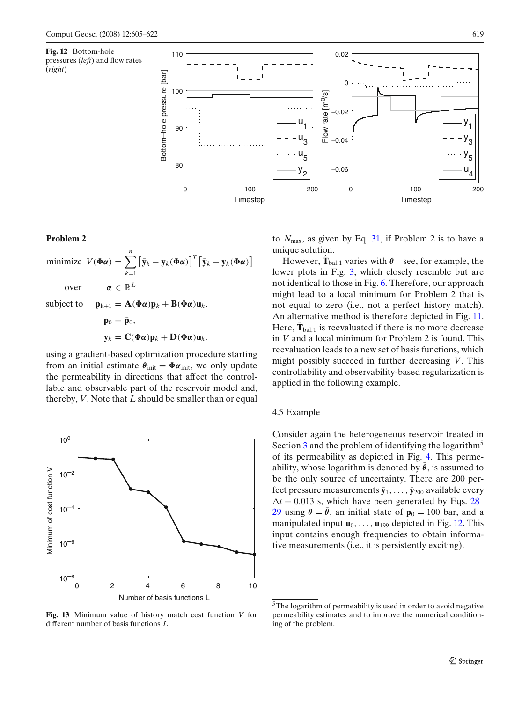<span id="page-14-0"></span>



# **Problem 2**

minimize 
$$
V(\Phi \alpha) = \sum_{k=1}^{n} [\bar{y}_k - y_k(\Phi \alpha)]^T [\bar{y}_k - y_k(\Phi \alpha)]
$$
  
\nover  $\alpha \in \mathbb{R}^L$   
\nsubject to  $\mathbf{p}_{k+1} = \mathbf{A}(\Phi \alpha) \mathbf{p}_k + \mathbf{B}(\Phi \alpha) \mathbf{u}_k$ ,  
\n $\mathbf{p}_0 = \bar{\mathbf{p}}_0$ ,

$$
\mathbf{y}_k = \mathbf{C}(\Phi \alpha) \mathbf{p}_k + \mathbf{D}(\Phi \alpha) \mathbf{u}_k.
$$

using a gradient-based optimization procedure starting from an initial estimate  $\theta_{\text{init}} = \Phi \alpha_{\text{init}}$ , we only update the permeability in directions that affect the controllable and observable part of the reservoir model and, thereby, *V*. Note that *L* should be smaller than or equal



**Fig. 13** Minimum value of history match cost function *V* for different number of basis functions *L*

to  $N_{\text{max}}$ , as given by Eq. [31,](#page-10-0) if Problem 2 is to have a unique solution.

However,  $\hat{\mathbf{T}}_{bal,1}$  varies with  $\theta$ —see, for example, the lower plots in Fig. [3,](#page-6-0) which closely resemble but are not identical to those in Fig. [6.](#page-8-0) Therefore, our approach might lead to a local minimum for Problem 2 that is not equal to zero (i.e., not a perfect history match). An alternative method is therefore depicted in Fig. [11.](#page-13-0) Here,  $\mathbf{T}_{bal,1}$  is reevaluated if there is no more decrease in *V* and a local minimum for Problem 2 is found. This reevaluation leads to a new set of basis functions, which might possibly succeed in further decreasing *V*. This controllability and observability-based regularization is applied in the following example.

# 4.5 Example

Consider again the heterogeneous reservoir treated in Section [3](#page-3-0) and the problem of identifying the logarithm<sup>5</sup> of its permeability as depicted in Fig. [4.](#page-7-0) This permeability, whose logarithm is denoted by  $\bar{\theta}$ , is assumed to be the only source of uncertainty. There are 200 perfect pressure measurements  $\bar{y}_1, \ldots, \bar{y}_{200}$  available every  $\Delta t = 0.013$  s, which have been generated by Eqs. [28–](#page-9-0)  $29$  using  $\theta = \bar{\theta}$ , an initial state of  $\mathbf{p}_0 = 100$  bar, and a manipulated input  $\mathbf{u}_0$ , ...,  $\mathbf{u}_{199}$  depicted in Fig. 12. This input contains enough frequencies to obtain informative measurements (i.e., it is persistently exciting).

<sup>5</sup>The logarithm of permeability is used in order to avoid negative permeability estimates and to improve the numerical conditioning of the problem.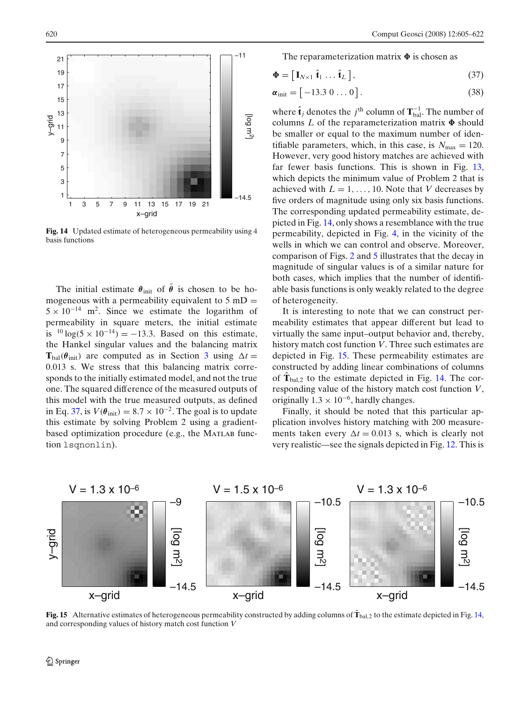

**Fig. 14** Updated estimate of heterogeneous permeability using 4 basis functions

The initial estimate  $\theta_{\text{init}}$  of  $\bar{\theta}$  is chosen to be homogeneous with a permeability equivalent to  $5 \text{ mD} =$  $5 \times 10^{-14}$  m<sup>2</sup>. Since we estimate the logarithm of permeability in square meters, the initial estimate is  $10 \log(5 \times 10^{-14}) = -13.3$ . Based on this estimate, the Hankel singular values and the balancing matrix  $\mathbf{T}_{bal}(\theta_{init})$  are computed as in Section [3](#page-3-0) using  $\Delta t =$ 0.013 s. We stress that this balancing matrix corresponds to the initially estimated model, and not the true one. The squared difference of the measured outputs of this model with the true measured outputs, as defined in Eq. 37, is  $V(\theta_{\text{init}}) = 8.7 \times 10^{-2}$ . The goal is to update this estimate by solving Problem 2 using a gradientbased optimization procedure (e.g., the MATLAB function lsqnonlin).

The reparameterization matrix  $\Phi$  is chosen as

$$
\mathbf{\Phi} = \left[ \mathbf{I}_{N \times 1} \hat{\mathbf{t}}_1 \dots \hat{\mathbf{t}}_L \right],\tag{37}
$$

$$
\boldsymbol{\alpha}_{\text{init}} = \begin{bmatrix} -13.3 & 0 & \dots & 0 \end{bmatrix} . \tag{38}
$$

where  $\hat{\mathbf{t}}_j$  denotes the *j*<sup>th</sup> column of  $\mathbf{T}_{bal}^{-1}$ . The number of columns  $L$  of the reparameterization matrix  $\Phi$  should be smaller or equal to the maximum number of identifiable parameters, which, in this case, is  $N_{\text{max}} = 120$ . However, very good history matches are achieved with far fewer basis functions. This is shown in Fig. [13,](#page-14-0) which depicts the minimum value of Problem 2 that is achieved with  $L = 1, \ldots, 10$ . Note that *V* decreases by five orders of magnitude using only six basis functions. The corresponding updated permeability estimate, depicted in Fig. 14, only shows a resemblance with the true permeability, depicted in Fig. [4,](#page-7-0) in the vicinity of the wells in which we can control and observe. Moreover, comparison of Figs. [2](#page-6-0) and [5](#page-7-0) illustrates that the decay in magnitude of singular values is of a similar nature for both cases, which implies that the number of identifiable basis functions is only weakly related to the degree of heterogeneity.

It is interesting to note that we can construct permeability estimates that appear different but lead to virtually the same input–output behavior and, thereby, history match cost function *V*. Three such estimates are depicted in Fig. 15. These permeability estimates are constructed by adding linear combinations of columns of  $\hat{\mathbf{T}}_{bal,2}$  to the estimate depicted in Fig. 14. The corresponding value of the history match cost function *V*, originally  $1.3 \times 10^{-6}$ , hardly changes.

Finally, it should be noted that this particular application involves history matching with 200 measurements taken every  $\Delta t = 0.013$  s, which is clearly not very realistic—see the signals depicted in Fig. [12.](#page-14-0) This is



**Fig. 15** Alternative estimates of heterogeneous permeability constructed by adding columns of  $\hat{\mathbf{T}}_{bal,2}$  to the estimate depicted in Fig. 14, and corresponding values of history match cost function *V*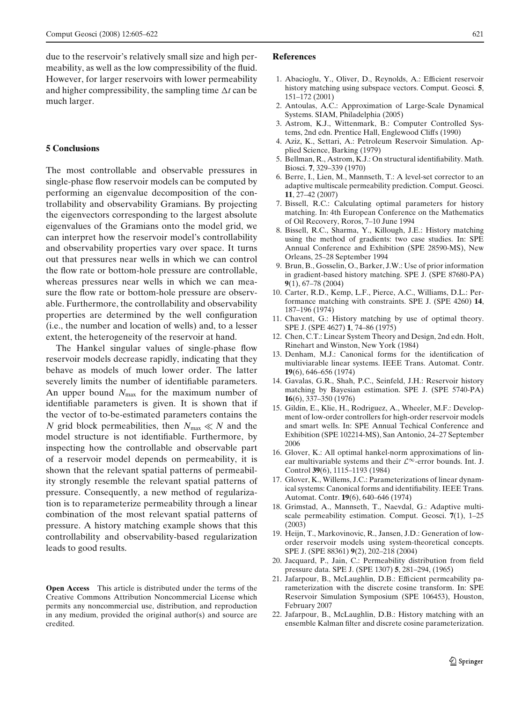<span id="page-16-0"></span>due to the reservoir's relatively small size and high permeability, as well as the low compressibility of the fluid. However, for larger reservoirs with lower permeability and higher compressibility, the sampling time  $\Delta t$  can be much larger.

# **5 Conclusions**

The most controllable and observable pressures in single-phase flow reservoir models can be computed by performing an eigenvalue decomposition of the controllability and observability Gramians. By projecting the eigenvectors corresponding to the largest absolute eigenvalues of the Gramians onto the model grid, we can interpret how the reservoir model's controllability and observability properties vary over space. It turns out that pressures near wells in which we can control the flow rate or bottom-hole pressure are controllable, whereas pressures near wells in which we can measure the flow rate or bottom-hole pressure are observable. Furthermore, the controllability and observability properties are determined by the well configuration (i.e., the number and location of wells) and, to a lesser extent, the heterogeneity of the reservoir at hand.

The Hankel singular values of single-phase flow reservoir models decrease rapidly, indicating that they behave as models of much lower order. The latter severely limits the number of identifiable parameters. An upper bound  $N_{\text{max}}$  for the maximum number of identifiable parameters is given. It is shown that if the vector of to-be-estimated parameters contains the *N* grid block permeabilities, then  $N_{\text{max}} \ll N$  and the model structure is not identifiable. Furthermore, by inspecting how the controllable and observable part of a reservoir model depends on permeability, it is shown that the relevant spatial patterns of permeability strongly resemble the relevant spatial patterns of pressure. Consequently, a new method of regularization is to reparameterize permeability through a linear combination of the most relevant spatial patterns of pressure. A history matching example shows that this controllability and observability-based regularization leads to good results.

**Open Access** This article is distributed under the terms of the Creative Commons Attribution Noncommercial License which permits any noncommercial use, distribution, and reproduction in any medium, provided the original author(s) and source are credited.

# **References**

- 1. Abacioglu, Y., Oliver, D., Reynolds, A.: Efficient reservoir history matching using subspace vectors. Comput. Geosci. **5**, 151–172 (2001)
- 2. Antoulas, A.C.: Approximation of Large-Scale Dynamical Systems. SIAM, Philadelphia (2005)
- 3. Astrom, K.J., Wittenmark, B.: Computer Controlled Systems, 2nd edn. Prentice Hall, Englewood Cliffs (1990)
- 4. Aziz, K., Settari, A.: Petroleum Reservoir Simulation. Applied Science, Barking (1979)
- 5. Bellman, R., Astrom, K.J.: On structural identifiability. Math. Biosci. **7**, 329–339 (1970)
- 6. Berre, I., Lien, M., Mannseth, T.: A level-set corrector to an adaptive multiscale permeability prediction. Comput. Geosci. **11**, 27–42 (2007)
- 7. Bissell, R.C.: Calculating optimal parameters for history matching. In: 4th European Conference on the Mathematics of Oil Recovery, Roros, 7–10 June 1994
- 8. Bissell, R.C., Sharma, Y., Killough, J.E.: History matching using the method of gradients: two case studies. In: SPE Annual Conference and Exhibition (SPE 28590-MS), New Orleans, 25–28 September 1994
- 9. Brun, B., Gosselin, O., Barker, J.W.: Use of prior information in gradient-based history matching. SPE J. (SPE 87680-PA) **9**(1), 67–78 (2004)
- 10. Carter, R.D., Kemp, L.F., Pierce, A.C., Williams, D.L.: Performance matching with constraints. SPE J. (SPE 4260) **14**, 187–196 (1974)
- 11. Chavent, G.: History matching by use of optimal theory. SPE J. (SPE 4627) **1**, 74–86 (1975)
- 12. Chen, C.T.: Linear System Theory and Design, 2nd edn. Holt, Rinehart and Winston, New York (1984)
- 13. Denham, M.J.: Canonical forms for the identification of multiviarable linear systems. IEEE Trans. Automat. Contr. **19**(6), 646–656 (1974)
- 14. Gavalas, G.R., Shah, P.C., Seinfeld, J.H.: Reservoir history matching by Bayesian estimation. SPE J. (SPE 5740-PA) **16**(6), 337–350 (1976)
- 15. Gildin, E., Klie, H., Rodriguez, A., Wheeler, M.F.: Development of low-order controllers for high-order reservoir models and smart wells. In: SPE Annual Techical Conference and Exhibition (SPE 102214-MS), San Antonio, 24–27 September 2006
- 16. Glover, K.: All optimal hankel-norm approximations of linear multivariable systems and their  $\mathcal{L}^{\infty}$ -error bounds. Int. J. Control **39**(6), 1115–1193 (1984)
- 17. Glover, K., Willems, J.C.: Parameterizations of linear dynamical systems: Canonical forms and identifiability. IEEE Trans. Automat. Contr. **19**(6), 640–646 (1974)
- 18. Grimstad, A., Mannseth, T., Naevdal, G.: Adaptive multiscale permeability estimation. Comput. Geosci. **7**(1), 1–25 (2003)
- 19. Heijn, T., Markovinovic, R., Jansen, J.D.: Generation of loworder reservoir models using system-theoretical concepts. SPE J. (SPE 88361) **9**(2), 202–218 (2004)
- 20. Jacquard, P., Jain, C.: Permeability distribution from field pressure data. SPE J. (SPE 1307) **5**, 281–294, (1965)
- 21. Jafarpour, B., McLaughlin, D.B.: Efficient permeability parameterization with the discrete cosine transform. In: SPE Reservoir Simulation Symposium (SPE 106453), Houston, February 2007
- 22. Jafarpour, B., McLaughlin, D.B.: History matching with an ensemble Kalman filter and discrete cosine parameterization.